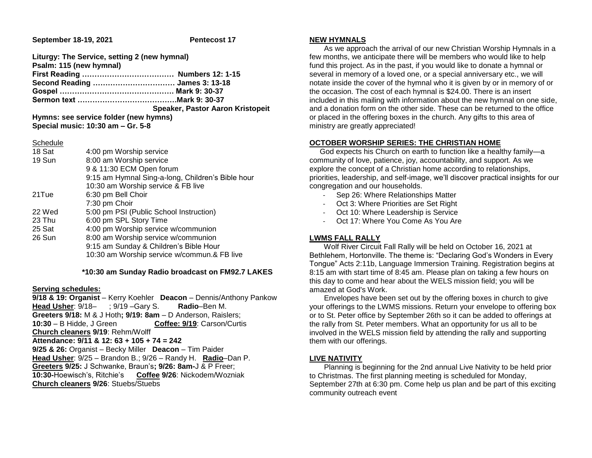**September 18-19, 2021 Pentecost 17** 

| Liturgy: The Service, setting 2 (new hymnal) |                                  |
|----------------------------------------------|----------------------------------|
| Psalm: 115 (new hymnal)                      |                                  |
|                                              |                                  |
|                                              |                                  |
|                                              |                                  |
|                                              |                                  |
|                                              | Speaker, Pastor Aaron Kristopeit |
| Hymns: see service folder (new hymns)        |                                  |

**Special music: 10:30 am – Gr. 5-8**

### Schedule

| 18 Sat | 4:00 pm Worship service                           |
|--------|---------------------------------------------------|
| 19 Sun | 8:00 am Worship service                           |
|        | 9 & 11:30 ECM Open forum                          |
|        | 9:15 am Hymnal Sing-a-long, Children's Bible hour |
|        | 10:30 am Worship service & FB live                |
| 21Tue  | 6:30 pm Bell Choir                                |
|        | 7:30 pm Choir                                     |
| 22 Wed | 5:00 pm PSI (Public School Instruction)           |
| 23 Thu | 6:00 pm SPL Story Time                            |
| 25 Sat | 4:00 pm Worship service w/communion               |
| 26 Sun | 8:00 am Worship service w/communion               |
|        | 9:15 am Sunday & Children's Bible Hour            |
|        | 10:30 am Worship service w/commun.& FB live       |

### **\*10:30 am Sunday Radio broadcast on FM92.7 LAKES**

### **Serving schedules:**

**9/18 & 19: Organist** – Kerry Koehler **Deacon** – Dennis/Anthony Pankow **Head Usher**: 9/18– ; 9/19 –Gary S. **Radio**–Ben M. **Greeters 9/18:** M & J Hoth**; 9/19: 8am** – D Anderson, Raislers; **10:30** – B Hidde, J Green **Coffee: 9/19**: Carson/Curtis **Church cleaners 9/19**: Rehm/Wolff **Attendance: 9/11 & 12: 63 + 105 + 74 = 242 9/25 & 26:** Organist – Becky Miller **Deacon** – Tim Paider **Head Usher**: 9/25 – Brandon B.; 9/26 – Randy H. **Radio**–Dan P. **Greeters 9/25:** J Schwanke, Braun's**; 9/26: 8am-**J & P Freer; **10:30-**Hoewisch's, Ritchie's **Coffee 9/26**: Nickodem/Wozniak **Church cleaners 9/26**: Stuebs/Stuebs

## **NEW HYMNALS**

 As we approach the arrival of our new Christian Worship Hymnals in a few months, we anticipate there will be members who would like to help fund this project. As in the past, if you would like to donate a hymnal or several in memory of a loved one, or a special anniversary etc., we will notate inside the cover of the hymnal who it is given by or in memory of or the occasion. The cost of each hymnal is \$24.00. There is an insert included in this mailing with information about the new hymnal on one side, and a donation form on the other side. These can be returned to the office or placed in the offering boxes in the church. Any gifts to this area of ministry are greatly appreciated!

## **OCTOBER WORSHIP SERIES: THE CHRISTIAN HOME**

 God expects his Church on earth to function like a healthy family—a community of love, patience, joy, accountability, and support. As we explore the concept of a Christian home according to relationships, priorities, leadership, and self-image, we'll discover practical insights for our congregation and our households.

- Sep 26: Where Relationships Matter
- Oct 3: Where Priorities are Set Right
- Oct 10: Where Leadership is Service
- Oct 17: Where You Come As You Are

## **LWMS FALL RALLY**

 Wolf River Circuit Fall Rally will be held on October 16, 2021 at Bethlehem, Hortonville. The theme is: "Declaring God's Wonders in Every Tongue" Acts 2:11b, Language Immersion Training. Registration begins at 8:15 am with start time of 8:45 am. Please plan on taking a few hours on this day to come and hear about the WELS mission field; you will be amazed at God's Work.

 Envelopes have been set out by the offering boxes in church to give your offerings to the LWMS missions. Return your envelope to offering box or to St. Peter office by September 26th so it can be added to offerings at the rally from St. Peter members. What an opportunity for us all to be involved in the WELS mission field by attending the rally and supporting them with our offerings.

# **LIVE NATIVITY**

 Planning is beginning for the 2nd annual Live Nativity to be held prior to Christmas. The first planning meeting is scheduled for Monday, September 27th at 6:30 pm. Come help us plan and be part of this exciting community outreach event